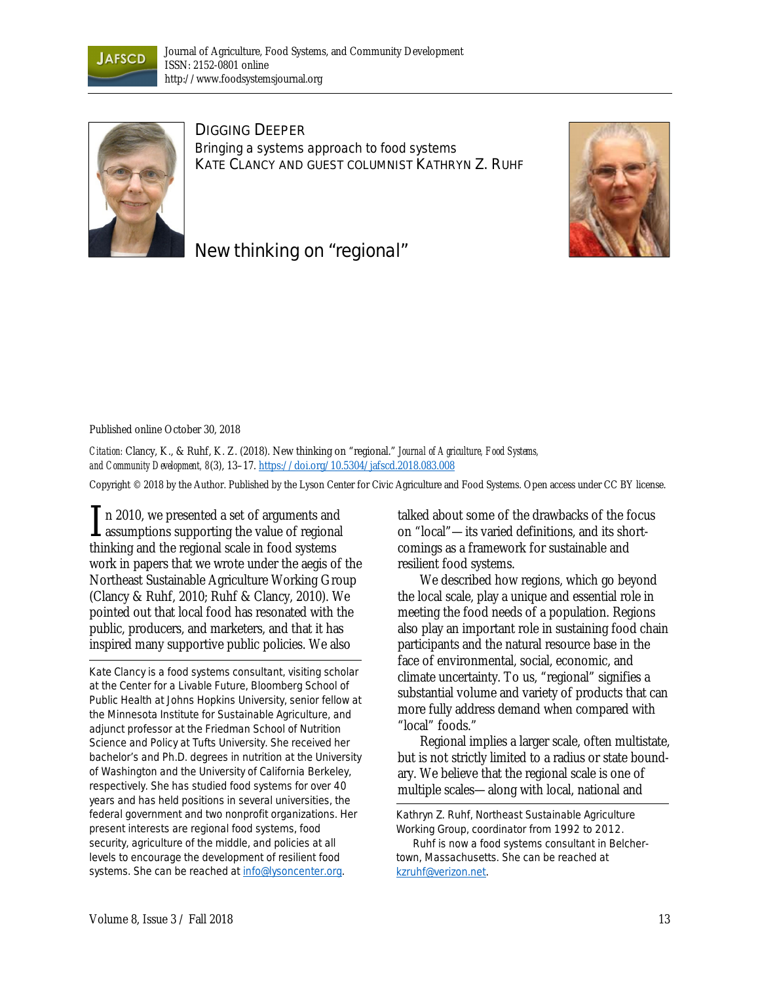



DIGGING DEEPER *Bringing a systems approach to food systems*  KATE CLANCY AND GUEST COLUMNIST KATHRYN Z. RUHF





## Published online October 30, 2018

*Citation:* Clancy, K., & Ruhf, K. Z. (2018). New thinking on "regional." *Journal of Agriculture, Food Systems, and Community Development, 8*(3), 13–17. https://doi.org/10.5304/jafscd.2018.083.008

Copyright © 2018 by the Author. Published by the Lyson Center for Civic Agriculture and Food Systems. Open access under CC BY license.

n 2010, we presented a set of arguments and  $\prod$  n 2010, we presented a set of arguments and<br>assumptions supporting the value of regional thinking and the regional scale in food systems work in papers that we wrote under the aegis of the Northeast Sustainable Agriculture Working Group (Clancy & Ruhf, 2010; Ruhf & Clancy, 2010). We pointed out that local food has resonated with the public, producers, and marketers, and that it has inspired many supportive public policies. We also

*Kate Clancy is a food systems consultant, visiting scholar at the Center for a Livable Future, Bloomberg School of Public Health at Johns Hopkins University, senior fellow at the Minnesota Institute for Sustainable Agriculture, and adjunct professor at the Friedman School of Nutrition Science and Policy at Tufts University. She received her bachelor's and Ph.D. degrees in nutrition at the University of Washington and the University of California Berkeley, respectively. She has studied food systems for over 40 years and has held positions in several universities, the federal government and two nonprofit organizations. Her present interests are regional food systems, food security, agriculture of the middle, and policies at all levels to encourage the development of resilient food systems. She can be reached at info@lysoncenter.org.* 

talked about some of the drawbacks of the focus on "local"—its varied definitions, and its shortcomings as a framework for sustainable and resilient food systems.

We described how regions, which go beyond the local scale, play a unique and essential role in meeting the food needs of a population. Regions also play an important role in sustaining food chain participants and the natural resource base in the face of environmental, social, economic, and climate uncertainty. To us, "regional" signifies a substantial volume and variety of products that can more fully address demand when compared with "local" foods."

 Regional implies a larger scale, often multistate, but is not strictly limited to a radius or state boundary. We believe that the regional scale is one of multiple scales—along with local, national and

*Kathryn Z. Ruhf, Northeast Sustainable Agriculture Working Group, coordinator from 1992 to 2012. Ruhf is now a food systems consultant in Belchertown, Massachusetts. She can be reached at kzruhf@verizon.net.*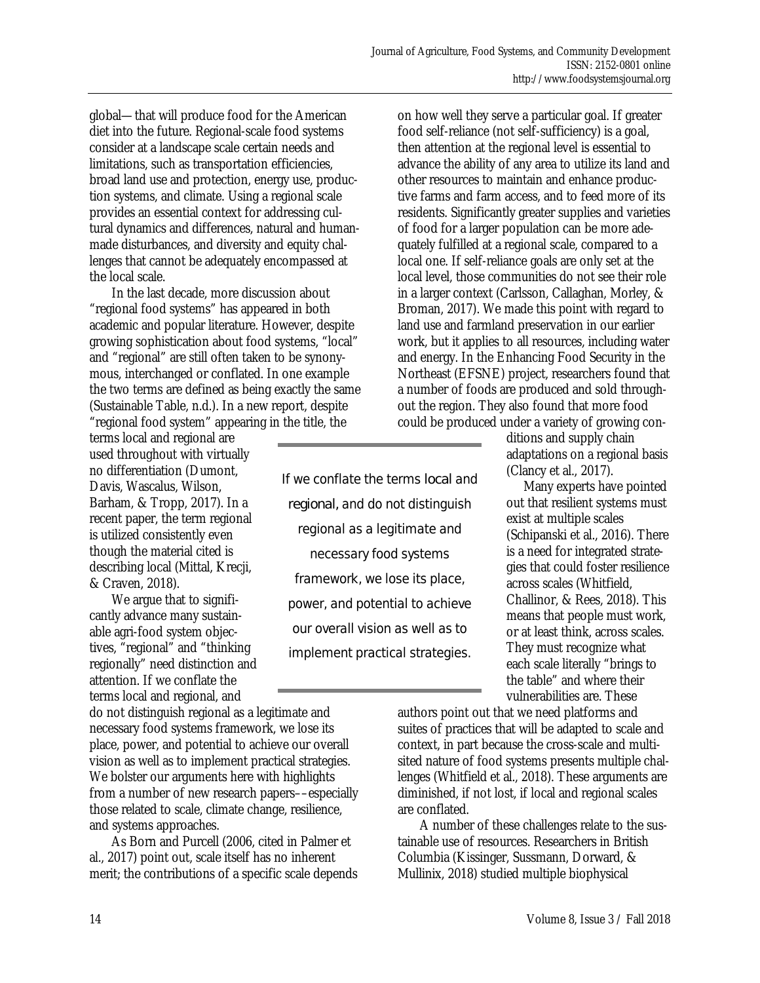global—that will produce food for the American diet into the future. Regional-scale food systems consider at a landscape scale certain needs and limitations, such as transportation efficiencies, broad land use and protection, energy use, production systems, and climate. Using a regional scale provides an essential context for addressing cultural dynamics and differences, natural and humanmade disturbances, and diversity and equity challenges that cannot be adequately encompassed at the local scale.

 In the last decade, more discussion about "regional food systems" has appeared in both academic and popular literature. However, despite growing sophistication about food systems, "local" and "regional" are still often taken to be synonymous, interchanged or conflated. In one example the two terms are defined as being exactly the same (Sustainable Table, n.d.). In a new report, despite "regional food system" appearing in the title, the

terms local and regional are used throughout with virtually no differentiation (Dumont, Davis, Wascalus, Wilson, Barham, & Tropp, 2017). In a recent paper, the term regional is utilized consistently even though the material cited is describing local (Mittal, Krecji, & Craven, 2018).

 We argue that to significantly advance many sustainable agri-food system objectives, "regional" and "thinking regionally" need distinction and attention. If we conflate the terms local and regional, and

do not distinguish regional as a legitimate and necessary food systems framework, we lose its place, power, and potential to achieve our overall vision as well as to implement practical strategies. We bolster our arguments here with highlights from a number of new research papers––especially those related to scale, climate change, resilience, and systems approaches.

 As Born and Purcell (2006, cited in Palmer et al., 2017) point out, scale itself has no inherent merit; the contributions of a specific scale depends

If we conflate the terms *local* and *regional,* and do not distinguish regional as a legitimate and necessary food systems framework, we lose its place, power, and potential to achieve our overall vision as well as to implement practical strategies.

on how well they serve a particular goal. If greater food self-reliance (not self-sufficiency) is a goal, then attention at the regional level is essential to advance the ability of any area to utilize its land and other resources to maintain and enhance productive farms and farm access, and to feed more of its residents. Significantly greater supplies and varieties of food for a larger population can be more adequately fulfilled at a regional scale, compared to a local one. If self-reliance goals are only set at the local level, those communities do not see their role in a larger context (Carlsson, Callaghan, Morley, & Broman, 2017). We made this point with regard to land use and farmland preservation in our earlier work, but it applies to all resources, including water and energy. In the Enhancing Food Security in the Northeast (EFSNE) project, researchers found that a number of foods are produced and sold throughout the region. They also found that more food could be produced under a variety of growing con-

> ditions and supply chain adaptations on a regional basis (Clancy et al., 2017).

> Many experts have pointed out that resilient systems must exist at multiple scales (Schipanski et al., 2016). There is a need for integrated strategies that could foster resilience across scales (Whitfield, Challinor, & Rees, 2018). This means that people must work, or at least think, across scales. They must recognize what each scale literally "brings to the table" and where their vulnerabilities are. These

authors point out that we need platforms and suites of practices that will be adapted to scale and context, in part because the cross-scale and multisited nature of food systems presents multiple challenges (Whitfield et al., 2018). These arguments are diminished, if not lost, if local and regional scales are conflated.

A number of these challenges relate to the sustainable use of resources. Researchers in British Columbia (Kissinger, Sussmann, Dorward, & Mullinix, 2018) studied multiple biophysical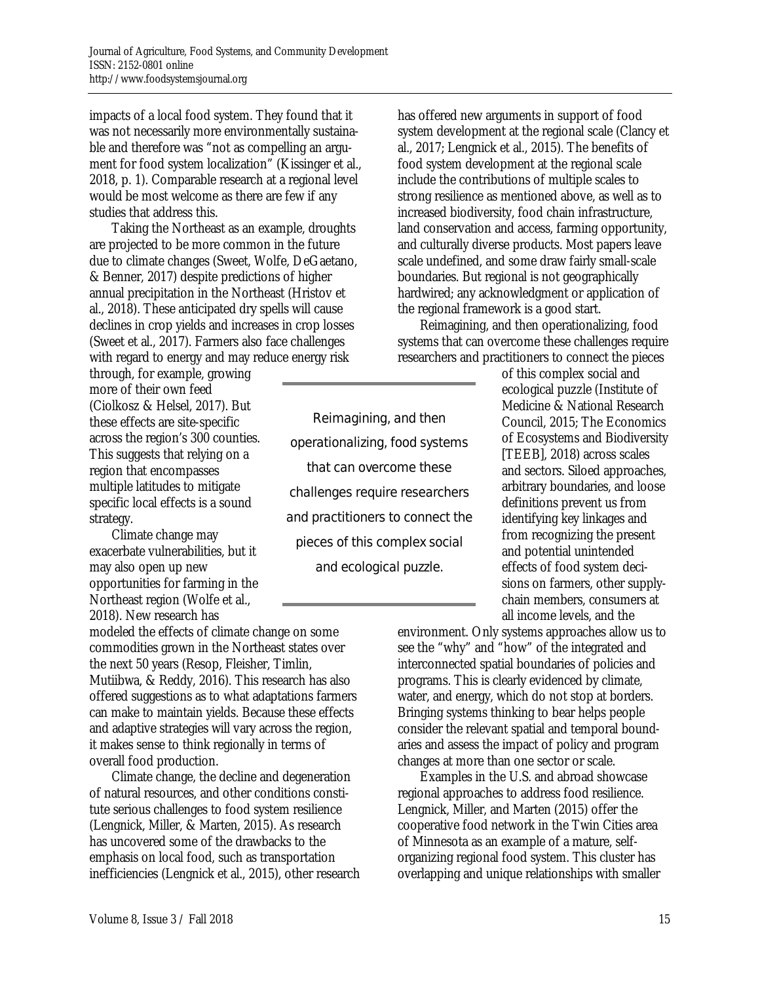impacts of a local food system. They found that it was not necessarily more environmentally sustainable and therefore was "not as compelling an argument for food system localization" (Kissinger et al., 2018, p. 1). Comparable research at a regional level would be most welcome as there are few if any studies that address this.

 Taking the Northeast as an example, droughts are projected to be more common in the future due to climate changes (Sweet, Wolfe, DeGaetano, & Benner, 2017) despite predictions of higher annual precipitation in the Northeast (Hristov et al., 2018). These anticipated dry spells will cause declines in crop yields and increases in crop losses (Sweet et al., 2017). Farmers also face challenges with regard to energy and may reduce energy risk

through, for example, growing more of their own feed (Ciolkosz & Helsel, 2017). But these effects are site-specific across the region's 300 counties. This suggests that relying on a region that encompasses multiple latitudes to mitigate specific local effects is a sound strategy.

 Climate change may exacerbate vulnerabilities, but it may also open up new opportunities for farming in the Northeast region (Wolfe et al., 2018). New research has

modeled the effects of climate change on some commodities grown in the Northeast states over the next 50 years (Resop, Fleisher, Timlin, Mutiibwa, & Reddy, 2016). This research has also offered suggestions as to what adaptations farmers can make to maintain yields. Because these effects and adaptive strategies will vary across the region, it makes sense to think regionally in terms of overall food production.

 Climate change, the decline and degeneration of natural resources, and other conditions constitute serious challenges to food system resilience (Lengnick, Miller, & Marten, 2015). As research has uncovered some of the drawbacks to the emphasis on local food, such as transportation inefficiencies (Lengnick et al., 2015), other research

Reimagining, and then operationalizing, food systems that can overcome these challenges require researchers and practitioners to connect the pieces of this complex social and ecological puzzle.

has offered new arguments in support of food system development at the regional scale (Clancy et al., 2017; Lengnick et al., 2015). The benefits of food system development at the regional scale include the contributions of multiple scales to strong resilience as mentioned above, as well as to increased biodiversity, food chain infrastructure, land conservation and access, farming opportunity, and culturally diverse products. Most papers leave scale undefined, and some draw fairly small-scale boundaries. But regional is not geographically hardwired; any acknowledgment or application of the regional framework is a good start.

 Reimagining, and then operationalizing, food systems that can overcome these challenges require researchers and practitioners to connect the pieces

> of this complex social and ecological puzzle (Institute of Medicine & National Research Council, 2015; The Economics of Ecosystems and Biodiversity [TEEB], 2018) across scales and sectors. Siloed approaches, arbitrary boundaries, and loose definitions prevent us from identifying key linkages and from recognizing the present and potential unintended effects of food system decisions on farmers, other supplychain members, consumers at all income levels, and the

environment. Only systems approaches allow us to see the "why" and "how" of the integrated and interconnected spatial boundaries of policies and programs. This is clearly evidenced by climate, water, and energy, which do not stop at borders. Bringing systems thinking to bear helps people consider the relevant spatial and temporal boundaries and assess the impact of policy and program changes at more than one sector or scale.

 Examples in the U.S. and abroad showcase regional approaches to address food resilience. Lengnick, Miller, and Marten (2015) offer the cooperative food network in the Twin Cities area of Minnesota as an example of a mature, selforganizing regional food system. This cluster has overlapping and unique relationships with smaller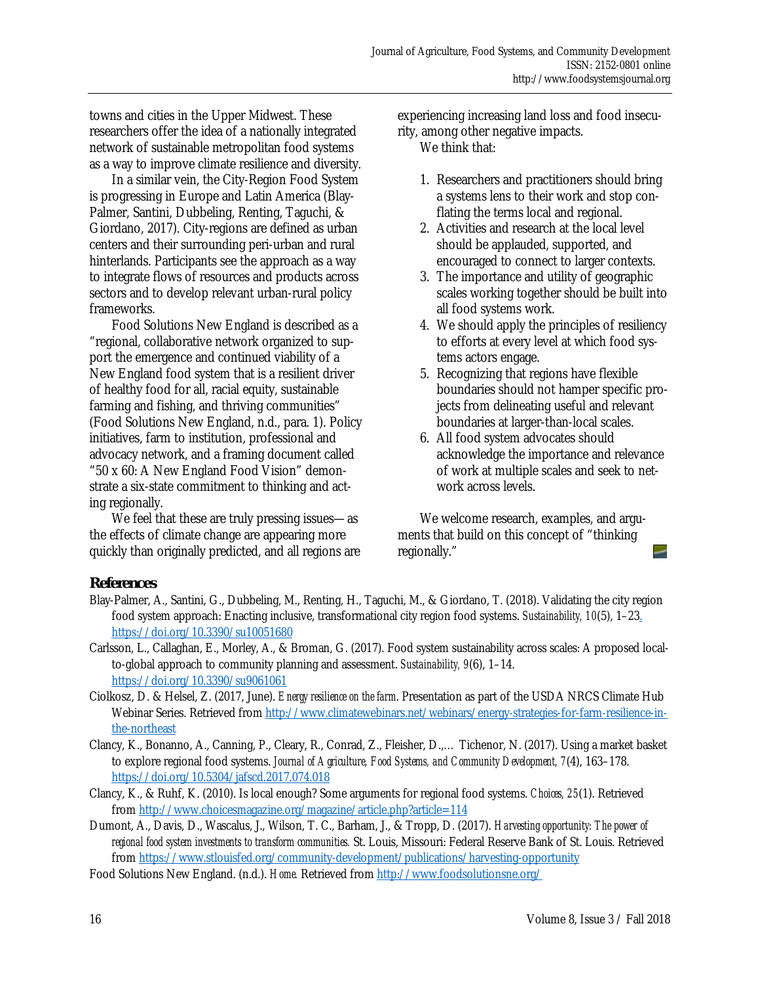towns and cities in the Upper Midwest. These researchers offer the idea of a nationally integrated network of sustainable metropolitan food systems as a way to improve climate resilience and diversity.

 In a similar vein, the City-Region Food System is progressing in Europe and Latin America (Blay-Palmer, Santini, Dubbeling, Renting, Taguchi, & Giordano, 2017). City-regions are defined as urban centers and their surrounding peri-urban and rural hinterlands. Participants see the approach as a way to integrate flows of resources and products across sectors and to develop relevant urban-rural policy frameworks.

 Food Solutions New England is described as a "regional, collaborative network organized to support the emergence and continued viability of a New England food system that is a resilient driver of healthy food for all, racial equity, sustainable farming and fishing, and thriving communities" (Food Solutions New England, n.d., para. 1). Policy initiatives, farm to institution, professional and advocacy network, and a framing document called "50 x 60: A New England Food Vision" demonstrate a six-state commitment to thinking and acting regionally.

 We feel that these are truly pressing issues—as the effects of climate change are appearing more quickly than originally predicted, and all regions are experiencing increasing land loss and food insecurity, among other negative impacts.

We think that:

- 1. Researchers and practitioners should bring a systems lens to their work and stop conflating the terms local and regional.
- 2. Activities and research at the local level should be applauded, supported, and encouraged to connect to larger contexts.
- 3. The importance and utility of geographic scales working together should be built into all food systems work.
- 4. We should apply the principles of resiliency to efforts at every level at which food systems actors engage.
- 5. Recognizing that regions have flexible boundaries should not hamper specific projects from delineating useful and relevant boundaries at larger-than-local scales.
- 6. All food system advocates should acknowledge the importance and relevance of work at multiple scales and seek to network across levels.

 We welcome research, examples, and arguments that build on this concept of "thinking regionally."

## **References**

- Blay-Palmer, A., Santini, G., Dubbeling, M., Renting, H., Taguchi, M., & Giordano, T. (2018). Validating the city region food system approach: Enacting inclusive, transformational city region food systems. *Sustainability, 10*(5), 1–23. https://doi.org/10.3390/su10051680
- Carlsson, L., Callaghan, E., Morley, A., & Broman, G. (2017). Food system sustainability across scales: A proposed localto-global approach to community planning and assessment. *Sustainability, 9*(6), 1–14. https://doi.org/10.3390/su9061061
- Ciolkosz, D. & Helsel, Z. (2017, June). *Energy resilience on the farm*. Presentation as part of the USDA NRCS Climate Hub Webinar Series. Retrieved from http://www.climatewebinars.net/webinars/energy-strategies-for-farm-resilience-inthe-northeast
- Clancy, K., Bonanno, A., Canning, P., Cleary, R., Conrad, Z., Fleisher, D.,… Tichenor, N. (2017). Using a market basket to explore regional food systems. *Journal of Agriculture, Food Systems, and Community Development, 7*(4), 163–178. https://doi.org/10.5304/jafscd.2017.074.018
- Clancy, K., & Ruhf, K. (2010). Is local enough? Some arguments for regional food systems. *Choices, 25*(1). Retrieved from http://www.choicesmagazine.org/magazine/article.php?article=114
- Dumont, A., Davis, D., Wascalus, J., Wilson, T. C., Barham, J., & Tropp, D. (2017). *Harvesting opportunity: The power of regional food system investments to transform communities.* St. Louis, Missouri: Federal Reserve Bank of St. Louis. Retrieved from https://www.stlouisfed.org/community-development/publications/harvesting-opportunity
- Food Solutions New England. (n.d.). *Home.* Retrieved from http://www.foodsolutionsne.org/

-